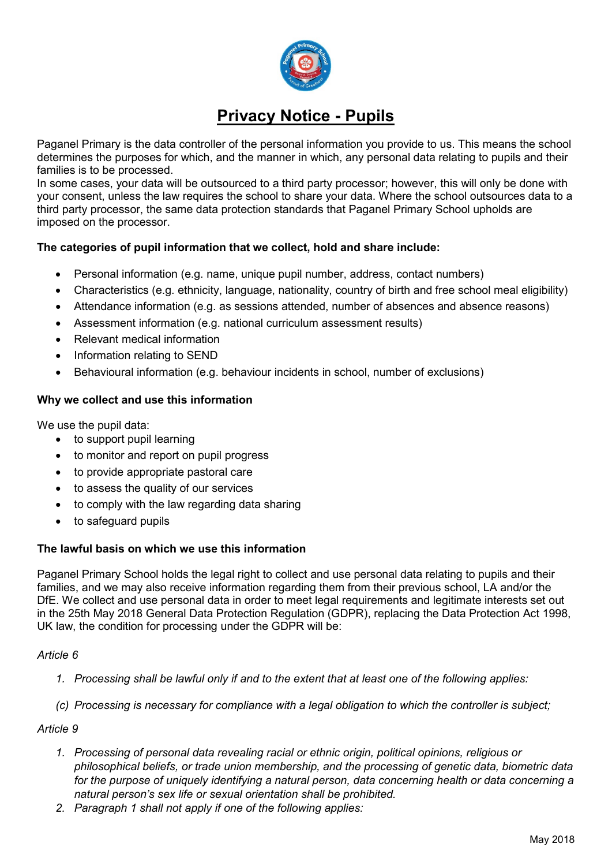

# **Privacy Notice - Pupils**

Paganel Primary is the data controller of the personal information you provide to us. This means the school determines the purposes for which, and the manner in which, any personal data relating to pupils and their families is to be processed.

In some cases, your data will be outsourced to a third party processor; however, this will only be done with your consent, unless the law requires the school to share your data. Where the school outsources data to a third party processor, the same data protection standards that Paganel Primary School upholds are imposed on the processor.

# **The categories of pupil information that we collect, hold and share include:**

- Personal information (e.g. name, unique pupil number, address, contact numbers)
- Characteristics (e.g. ethnicity, language, nationality, country of birth and free school meal eligibility)
- Attendance information (e.g. as sessions attended, number of absences and absence reasons)
- Assessment information (e.g. national curriculum assessment results)
- Relevant medical information
- Information relating to SEND
- Behavioural information (e.g. behaviour incidents in school, number of exclusions)

## **Why we collect and use this information**

We use the pupil data:

- to support pupil learning
- to monitor and report on pupil progress
- to provide appropriate pastoral care
- to assess the quality of our services
- to comply with the law regarding data sharing
- to safeguard pupils

## **The lawful basis on which we use this information**

Paganel Primary School holds the legal right to collect and use personal data relating to pupils and their families, and we may also receive information regarding them from their previous school, LA and/or the DfE. We collect and use personal data in order to meet legal requirements and legitimate interests set out in the 25th May 2018 General Data Protection Regulation (GDPR), replacing the Data Protection Act 1998, UK law, the condition for processing under the GDPR will be:

## *Article 6*

- *1. Processing shall be lawful only if and to the extent that at least one of the following applies:*
- *(c) Processing is necessary for compliance with a legal obligation to which the controller is subject;*

## *Article 9*

- *1. Processing of personal data revealing racial or ethnic origin, political opinions, religious or philosophical beliefs, or trade union membership, and the processing of genetic data, biometric data for the purpose of uniquely identifying a natural person, data concerning health or data concerning a natural person's sex life or sexual orientation shall be prohibited.*
- *2. Paragraph 1 shall not apply if one of the following applies:*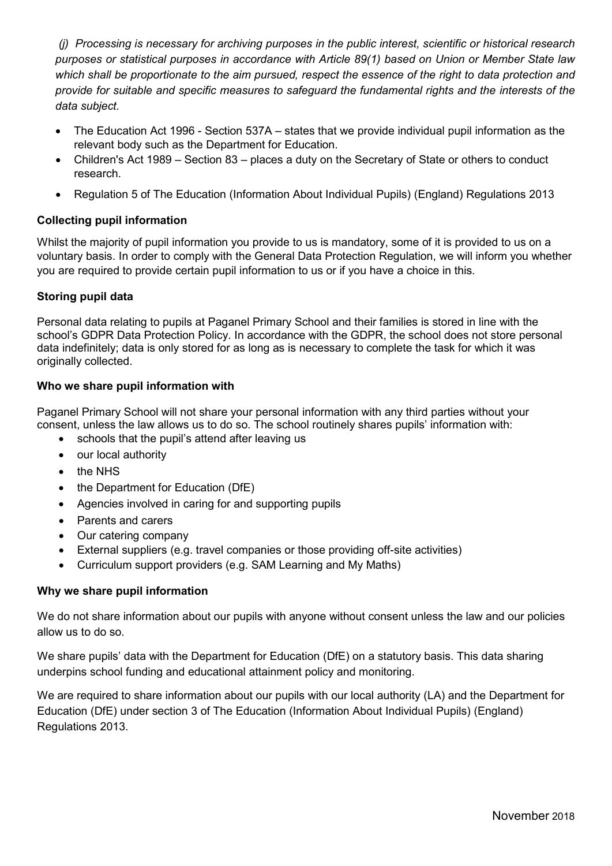*(j) Processing is necessary for archiving purposes in the public interest, scientific or historical research purposes or statistical purposes in accordance with Article 89(1) based on Union or Member State law which shall be proportionate to the aim pursued, respect the essence of the right to data protection and provide for suitable and specific measures to safeguard the fundamental rights and the interests of the data subject.*

- The Education Act 1996 Section 537A states that we provide individual pupil information as the relevant body such as the Department for Education.
- Children's Act 1989 Section 83 places a duty on the Secretary of State or others to conduct research.
- Regulation 5 of The Education (Information About Individual Pupils) (England) Regulations 2013

# **Collecting pupil information**

Whilst the majority of pupil information you provide to us is mandatory, some of it is provided to us on a voluntary basis. In order to comply with the General Data Protection Regulation, we will inform you whether you are required to provide certain pupil information to us or if you have a choice in this.

## **Storing pupil data**

Personal data relating to pupils at Paganel Primary School and their families is stored in line with the school's GDPR Data Protection Policy. In accordance with the GDPR, the school does not store personal data indefinitely; data is only stored for as long as is necessary to complete the task for which it was originally collected.

## **Who we share pupil information with**

Paganel Primary School will not share your personal information with any third parties without your consent, unless the law allows us to do so. The school routinely shares pupils' information with:

- schools that the pupil's attend after leaving us
- our local authority
- the NHS
- the Department for Education (DfE)
- Agencies involved in caring for and supporting pupils
- Parents and carers
- Our catering company
- External suppliers (e.g. travel companies or those providing off-site activities)
- Curriculum support providers (e.g. SAM Learning and My Maths)

## **Why we share pupil information**

We do not share information about our pupils with anyone without consent unless the law and our policies allow us to do so.

We share pupils' data with the Department for Education (DfE) on a statutory basis. This data sharing underpins school funding and educational attainment policy and monitoring.

We are required to share information about our pupils with our local authority (LA) and the Department for Education (DfE) under section 3 of The Education (Information About Individual Pupils) (England) Regulations 2013.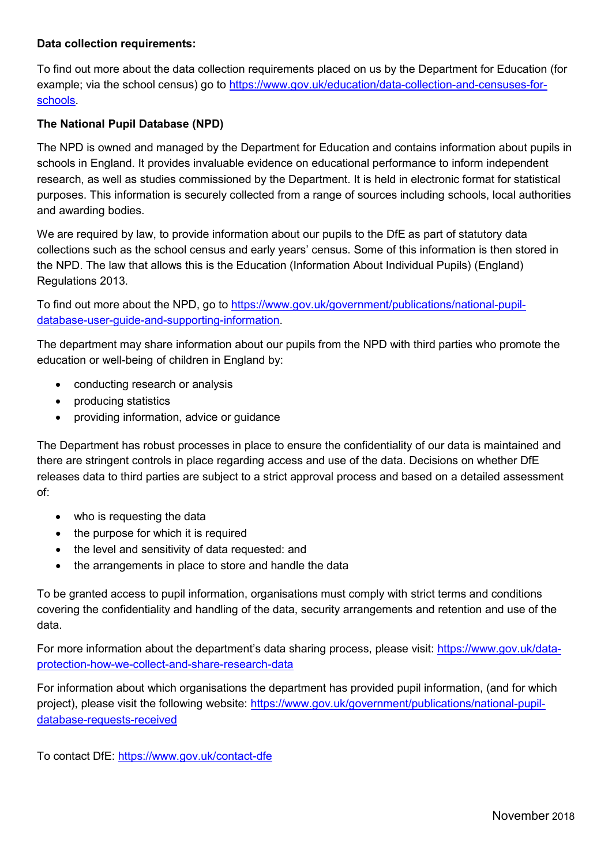## **Data collection requirements:**

To find out more about the data collection requirements placed on us by the Department for Education (for example; via the school census) go to [https://www.gov.uk/education/data-collection-and-censuses-for](https://www.gov.uk/education/data-collection-and-censuses-for-schools)[schools.](https://www.gov.uk/education/data-collection-and-censuses-for-schools)

## **The National Pupil Database (NPD)**

The NPD is owned and managed by the Department for Education and contains information about pupils in schools in England. It provides invaluable evidence on educational performance to inform independent research, as well as studies commissioned by the Department. It is held in electronic format for statistical purposes. This information is securely collected from a range of sources including schools, local authorities and awarding bodies.

We are required by law, to provide information about our pupils to the DfE as part of statutory data collections such as the school census and early years' census. Some of this information is then stored in the NPD. The law that allows this is the Education (Information About Individual Pupils) (England) Regulations 2013.

To find out more about the NPD, go to [https://www.gov.uk/government/publications/national-pupil](https://www.gov.uk/government/publications/national-pupil-database-user-guide-and-supporting-information)[database-user-guide-and-supporting-information.](https://www.gov.uk/government/publications/national-pupil-database-user-guide-and-supporting-information)

The department may share information about our pupils from the NPD with third parties who promote the education or well-being of children in England by:

- conducting research or analysis
- producing statistics
- providing information, advice or guidance

The Department has robust processes in place to ensure the confidentiality of our data is maintained and there are stringent controls in place regarding access and use of the data. Decisions on whether DfE releases data to third parties are subject to a strict approval process and based on a detailed assessment of:

- who is requesting the data
- the purpose for which it is required
- the level and sensitivity of data requested: and
- the arrangements in place to store and handle the data

To be granted access to pupil information, organisations must comply with strict terms and conditions covering the confidentiality and handling of the data, security arrangements and retention and use of the data.

For more information about the department's data sharing process, please visit: [https://www.gov.uk/data](https://www.gov.uk/data-protection-how-we-collect-and-share-research-data)[protection-how-we-collect-and-share-research-data](https://www.gov.uk/data-protection-how-we-collect-and-share-research-data)

For information about which organisations the department has provided pupil information, (and for which project), please visit the following website: [https://www.gov.uk/government/publications/national-pupil](https://www.gov.uk/government/publications/national-pupil-database-requests-received)[database-requests-received](https://www.gov.uk/government/publications/national-pupil-database-requests-received)

To contact DfE:<https://www.gov.uk/contact-dfe>